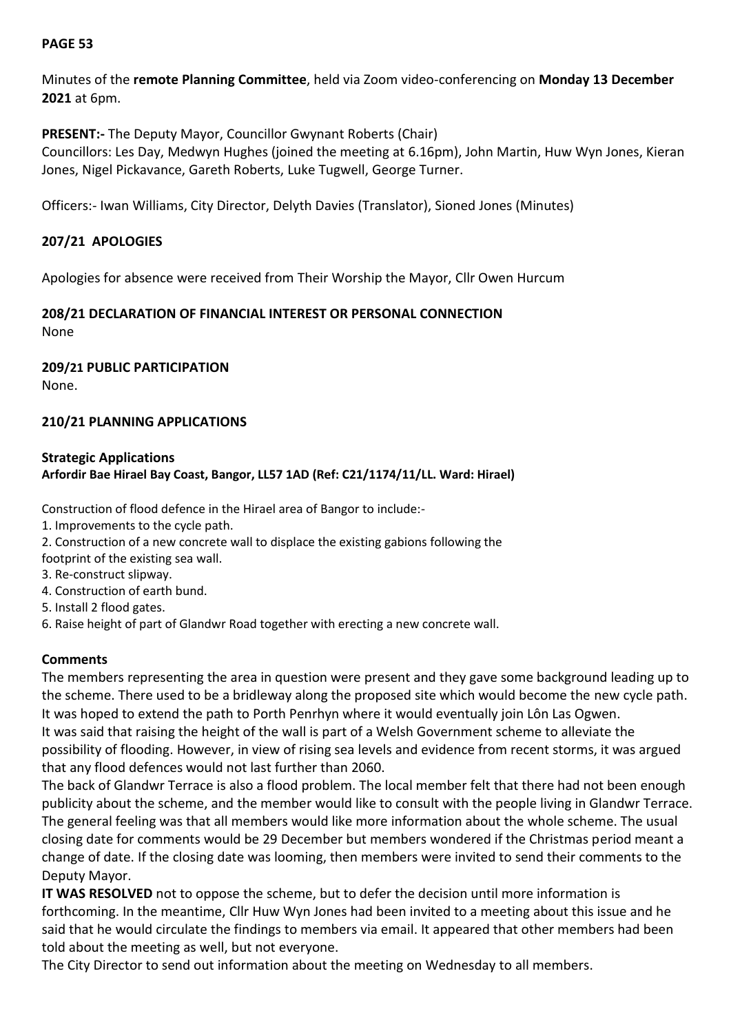# **PAGE 53**

Minutes of the **remote Planning Committee**, held via Zoom video-conferencing on **Monday 13 December 2021** at 6pm.

**PRESENT:-** The Deputy Mayor, Councillor Gwynant Roberts (Chair)

Councillors: Les Day, Medwyn Hughes (joined the meeting at 6.16pm), John Martin, Huw Wyn Jones, Kieran Jones, Nigel Pickavance, Gareth Roberts, Luke Tugwell, George Turner.

Officers:- Iwan Williams, City Director, Delyth Davies (Translator), Sioned Jones (Minutes)

## **207/21 APOLOGIES**

Apologies for absence were received from Their Worship the Mayor, Cllr Owen Hurcum

#### **208/21 DECLARATION OF FINANCIAL INTEREST OR PERSONAL CONNECTION** None

**209/21 PUBLIC PARTICIPATION** None.

## **210/21 PLANNING APPLICATIONS**

### **Strategic Applications Arfordir Bae Hirael Bay Coast, Bangor, LL57 1AD (Ref: C21/1174/11/LL. Ward: Hirael)**

Construction of flood defence in the Hirael area of Bangor to include:-

- 1. Improvements to the cycle path.
- 2. Construction of a new concrete wall to displace the existing gabions following the
- footprint of the existing sea wall.
- 3. Re-construct slipway.
- 4. Construction of earth bund.
- 5. Install 2 flood gates.

6. Raise height of part of Glandwr Road together with erecting a new concrete wall.

### **Comments**

The members representing the area in question were present and they gave some background leading up to the scheme. There used to be a bridleway along the proposed site which would become the new cycle path. It was hoped to extend the path to Porth Penrhyn where it would eventually join Lôn Las Ogwen. It was said that raising the height of the wall is part of a Welsh Government scheme to alleviate the possibility of flooding. However, in view of rising sea levels and evidence from recent storms, it was argued that any flood defences would not last further than 2060.

The back of Glandwr Terrace is also a flood problem. The local member felt that there had not been enough publicity about the scheme, and the member would like to consult with the people living in Glandwr Terrace. The general feeling was that all members would like more information about the whole scheme. The usual closing date for comments would be 29 December but members wondered if the Christmas period meant a change of date. If the closing date was looming, then members were invited to send their comments to the Deputy Mayor.

**IT WAS RESOLVED** not to oppose the scheme, but to defer the decision until more information is forthcoming. In the meantime, Cllr Huw Wyn Jones had been invited to a meeting about this issue and he said that he would circulate the findings to members via email. It appeared that other members had been told about the meeting as well, but not everyone.

The City Director to send out information about the meeting on Wednesday to all members.